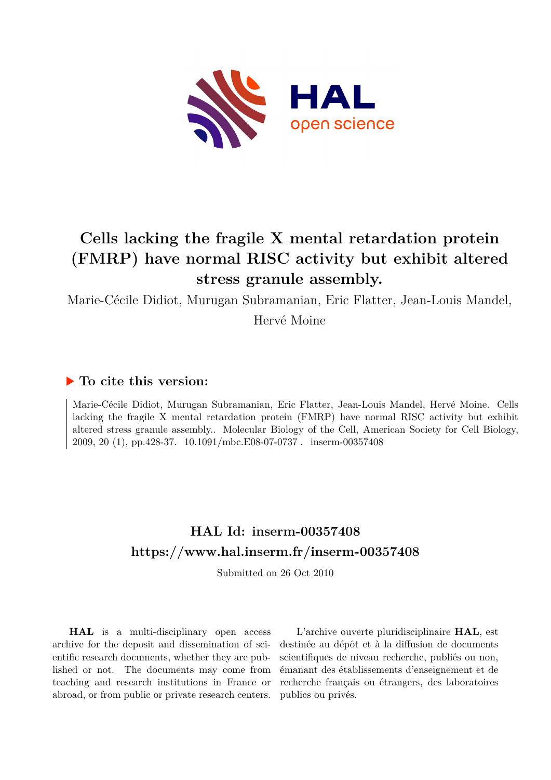

# **Cells lacking the fragile X mental retardation protein (FMRP) have normal RISC activity but exhibit altered stress granule assembly.**

Marie-Cécile Didiot, Murugan Subramanian, Eric Flatter, Jean-Louis Mandel,

Hervé Moine

# **To cite this version:**

Marie-Cécile Didiot, Murugan Subramanian, Eric Flatter, Jean-Louis Mandel, Hervé Moine. Cells lacking the fragile X mental retardation protein (FMRP) have normal RISC activity but exhibit altered stress granule assembly.. Molecular Biology of the Cell, American Society for Cell Biology, 2009, 20 (1), pp.428-37.  $10.1091/mbc.E08-07-0737$ . inserm-00357408

# **HAL Id: inserm-00357408 <https://www.hal.inserm.fr/inserm-00357408>**

Submitted on 26 Oct 2010

**HAL** is a multi-disciplinary open access archive for the deposit and dissemination of scientific research documents, whether they are published or not. The documents may come from teaching and research institutions in France or abroad, or from public or private research centers.

L'archive ouverte pluridisciplinaire **HAL**, est destinée au dépôt et à la diffusion de documents scientifiques de niveau recherche, publiés ou non, émanant des établissements d'enseignement et de recherche français ou étrangers, des laboratoires publics ou privés.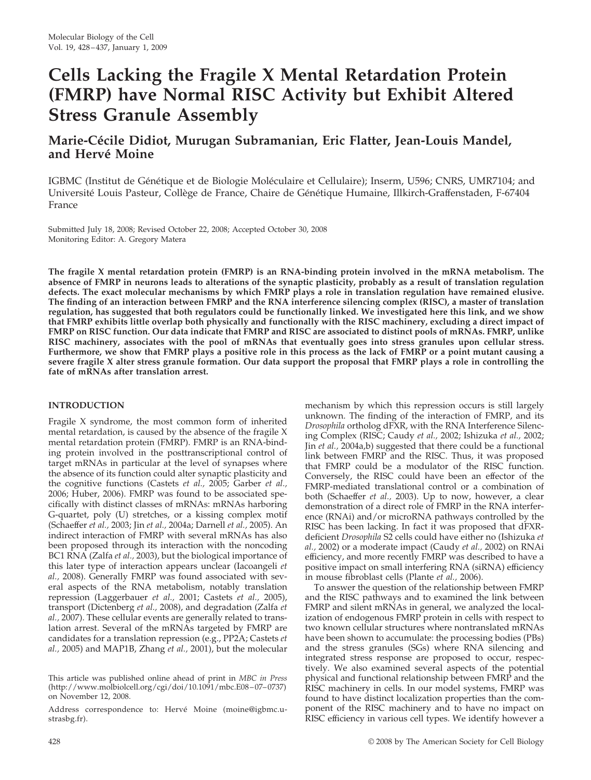# **Cells Lacking the Fragile X Mental Retardation Protein (FMRP) have Normal RISC Activity but Exhibit Altered Stress Granule Assembly**

# **Marie-Ce´cile Didiot, Murugan Subramanian, Eric Flatter, Jean-Louis Mandel,** and Hervé Moine

IGBMC (Institut de Génétique et de Biologie Moléculaire et Cellulaire); Inserm, U596; CNRS, UMR7104; and Université Louis Pasteur, Collège de France, Chaire de Génétique Humaine, Illkirch-Graffenstaden, F-67404 France

Submitted July 18, 2008; Revised October 22, 2008; Accepted October 30, 2008 Monitoring Editor: A. Gregory Matera

**The fragile X mental retardation protein (FMRP) is an RNA-binding protein involved in the mRNA metabolism. The absence of FMRP in neurons leads to alterations of the synaptic plasticity, probably as a result of translation regulation defects. The exact molecular mechanisms by which FMRP plays a role in translation regulation have remained elusive. The finding of an interaction between FMRP and the RNA interference silencing complex (RISC), a master of translation regulation, has suggested that both regulators could be functionally linked. We investigated here this link, and we show that FMRP exhibits little overlap both physically and functionally with the RISC machinery, excluding a direct impact of FMRP on RISC function. Our data indicate that FMRP and RISC are associated to distinct pools of mRNAs. FMRP, unlike RISC machinery, associates with the pool of mRNAs that eventually goes into stress granules upon cellular stress. Furthermore, we show that FMRP plays a positive role in this process as the lack of FMRP or a point mutant causing a severe fragile X alter stress granule formation. Our data support the proposal that FMRP plays a role in controlling the fate of mRNAs after translation arrest.**

## **INTRODUCTION**

Fragile X syndrome, the most common form of inherited mental retardation, is caused by the absence of the fragile X mental retardation protein (FMRP). FMRP is an RNA-binding protein involved in the posttranscriptional control of target mRNAs in particular at the level of synapses where the absence of its function could alter synaptic plasticity and the cognitive functions (Castets *et al.,* 2005; Garber *et al.,* 2006; Huber, 2006). FMRP was found to be associated specifically with distinct classes of mRNAs: mRNAs harboring G-quartet, poly (U) stretches, or a kissing complex motif (Schaeffer *et al.,* 2003; Jin *et al.,* 2004a; Darnell *et al.,* 2005). An indirect interaction of FMRP with several mRNAs has also been proposed through its interaction with the noncoding BC1 RNA (Zalfa *et al.,* 2003), but the biological importance of this later type of interaction appears unclear (Iacoangeli *et al.,* 2008). Generally FMRP was found associated with several aspects of the RNA metabolism, notably translation repression (Laggerbauer *et al.,* 2001; Castets *et al.,* 2005), transport (Dictenberg *et al.,* 2008), and degradation (Zalfa *et al.,* 2007). These cellular events are generally related to translation arrest. Several of the mRNAs targeted by FMRP are candidates for a translation repression (e.g., PP2A; Castets *et al.,* 2005) and MAP1B, Zhang *et al.,* 2001), but the molecular

Address correspondence to: Hervé Moine (moine@igbmc.ustrasbg.fr).

mechanism by which this repression occurs is still largely unknown. The finding of the interaction of FMRP, and its *Drosophila* ortholog dFXR, with the RNA Interference Silencing Complex (RISC; Caudy *et al.,* 2002; Ishizuka *et al.,* 2002; Jin *et al.,* 2004a,b) suggested that there could be a functional link between FMRP and the RISC. Thus, it was proposed that FMRP could be a modulator of the RISC function. Conversely, the RISC could have been an effector of the FMRP-mediated translational control or a combination of both (Schaeffer *et al.,* 2003). Up to now, however, a clear demonstration of a direct role of FMRP in the RNA interference (RNAi) and/or microRNA pathways controlled by the RISC has been lacking. In fact it was proposed that dFXRdeficient *Drosophila* S2 cells could have either no (Ishizuka *et al.,* 2002) or a moderate impact (Caudy *et al.,* 2002) on RNAi efficiency, and more recently FMRP was described to have a positive impact on small interfering RNA (siRNA) efficiency in mouse fibroblast cells (Plante *et al.,* 2006).

To answer the question of the relationship between FMRP and the RISC pathways and to examined the link between FMRP and silent mRNAs in general, we analyzed the localization of endogenous FMRP protein in cells with respect to two known cellular structures where nontranslated mRNAs have been shown to accumulate: the processing bodies (PBs) and the stress granules (SGs) where RNA silencing and integrated stress response are proposed to occur, respectively. We also examined several aspects of the potential physical and functional relationship between FMRP and the RISC machinery in cells. In our model systems, FMRP was found to have distinct localization properties than the component of the RISC machinery and to have no impact on RISC efficiency in various cell types. We identify however a

This article was published online ahead of print in *MBC in Press* (http://www.molbiolcell.org/cgi/doi/10.1091/mbc.E08–07–0737) on November 12, 2008.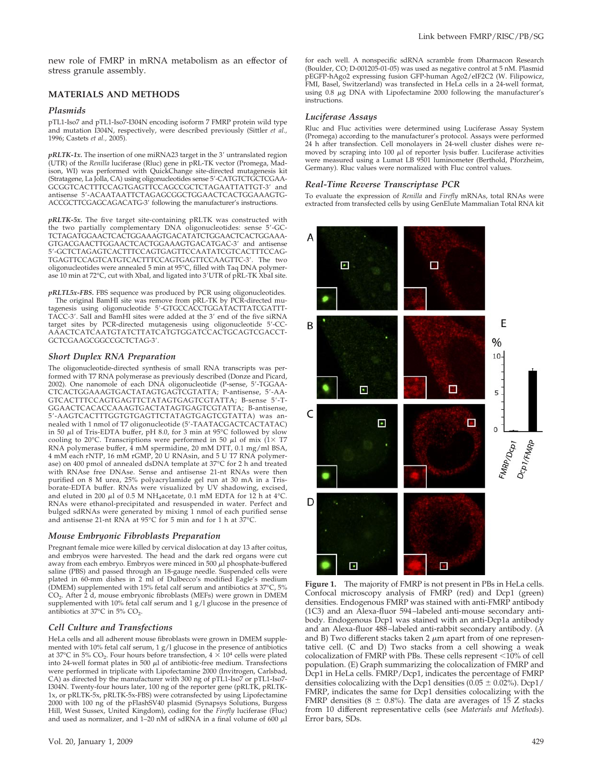new role of FMRP in mRNA metabolism as an effector of stress granule assembly.

## **MATERIALS AND METHODS**

#### *Plasmids*

pTL1-Iso7 and pTL1-Iso7-I304N encoding isoform 7 FMRP protein wild type and mutation I304N, respectively, were described previously (Sittler *et al.,* 1996; Castets *et al.,* 2005).

 $pRLTK-1x$ . The insertion of one miRNA23 target in the 3' untranslated region (UTR) of the *Renilla* luciferase (Rluc) gene in pRL-TK vector (Promega, Madison, WI) was performed with QuickChange site-directed mutagenesis kit (Stratagene, La Jolla, CA) using oligonucleotides sense 5'-CATGTCTGCTCGAA-GCGGTCACTTTCCAGTGAGTTCCAGCCGCTCTAGAATTATTGT-3' and antisense 5-ACAATAATTCTAGAGCGGCTGGAACTCACTGGAAAGTG-ACCGCTTCGAGCAGACATG-3' following the manufacturer's instructions.

*pRLTK-5x.* The five target site-containing pRLTK was constructed with the two partially complementary DNA oligonucleotides: sense 5-GC-TCTAGATGGAACTCACTGGAAAGTGACATATCTGGAACTCACTGGAAA-GTGACGAACTTGGAACTCACTGGAAAGTGACATGAC-3' and antisense 5-GCTCTAGAGTCACTTTCCAGTGAGTTCCAATATCGTCACTTTCCAG-TGAGTTCCAGTCATGTCACTTTCCAGTGAGTTCCAAGTTC-3. The two oligonucleotides were annealed 5 min at 95°C, filled with Taq DNA polymerase 10 min at 72°C, cut with XbaI, and ligated into 3'UTR of pRL-TK XbaI site.

*pRLTL5x-FBS.* FBS sequence was produced by PCR using oligonucleotides. The original BamHI site was remove from pRL-TK by PCR-directed mutagenesis using oligonucleotide 5'-GTGCCACCTGGATACTTATCGATTT-TACC-3'. SalI and BamHI sites were added at the 3' end of the five siRNA target sites by PCR-directed mutagenesis using oligonucleotide 5-CC-AAACTCATCAATGTATCTTATCATGTGGATCCACTGCAGTCGACCT-GCTCGAAGCGGCCGCTCTAG-3'.

#### *Short Duplex RNA Preparation*

The oligonucleotide-directed synthesis of small RNA transcripts was performed with T7 RNA polymerase as previously described (Donze and Picard, 2002). One nanomole of each DNA oligonucleotide (P-sense, 5-TGGAA-CTCACTGGAAAGTGACTATAGTGAGTCGTATTA; P-antisense, 5-AA-GTCACTTTCCAGTGAGTTCTATAGTGAGTCGTATTA; B-sense 5-T-GGAACTCACACCAAAGTGACTATAGTGAGTCGTATTA; B-antisense, 5-AAGTCACTTTGGTGTGAGTTCTATAGTGAGTCGTATTA) was annealed with 1 nmol of T7 oligonucleotide (5-TAATACGACTCACTATAC) in 50  $\mu$ l of Tris-EDTA buffer, pH 8.0, for 3 min at 95°C followed by slow cooling to 20°C. Transcriptions were performed in 50  $\mu$ l of mix (1 $\times$  T7 RNA polymerase buffer, 4 mM spermidine, 20 mM DTT, 0.1 mg/ml BSA, 4 mM each rNTP, 16 mM rGMP, 20 U RNAsin, and 5 U T7 RNA polymerase) on 400 pmol of annealed dsDNA template at 37°C for 2 h and treated with RNAse free DNAse. Sense and antisense 21-nt RNAs were then purified on 8 M urea, 25% polyacrylamide gel run at 30 mA in a Trisborate-EDTA buffer. RNAs were visualized by UV shadowing, excised, and eluted in 200  $\mu$ l of 0.5 M NH<sub>4</sub>acetate, 0.1 mM EDTA for 12 h at 4°C. RNAs were ethanol-precipitated and resuspended in water. Perfect and bulged sdRNAs were generated by mixing 1 nmol of each purified sense and antisense 21-nt RNA at 95°C for 5 min and for 1 h at 37°C.

#### *Mouse Embryonic Fibroblasts Preparation*

Pregnant female mice were killed by cervical dislocation at day 13 after coitus, and embryos were harvested. The head and the dark red organs were cut away from each embryo. Embryos were minced in 500  $\mu$ l phosphate-buffered saline (PBS) and passed through an 18-gauge needle. Suspended cells were plated in 60-mm dishes in 2 ml of Dulbecco's modified Eagle's medium (DMEM) supplemented with 15% fetal calf serum and antibiotics at 37°C, 5%  $CO<sub>2</sub>$ . After 2<sup>1</sup>d, mouse embryonic fibroblasts (MEFs) were grown in DMEM supplemented with 10% fetal calf serum and 1 g/l glucose in the presence of antibiotics at  $37^{\circ}$ C in  $5\%$  CO<sub>2</sub>.

#### *Cell Culture and Transfections*

HeLa cells and all adherent mouse fibroblasts were grown in DMEM supplemented with 10% fetal calf serum, 1 g/l glucose in the presence of antibiotics at 37°C in 5% CO<sub>2</sub>. Four hours before transfection,  $4 \times 10^4$  cells were plated into 24-well format plates in 500  $\mu$ l of antibiotic-free medium. Transfections were performed in triplicate with Lipofectamine 2000 (Invitrogen, Carlsbad, CA) as directed by the manufacturer with 300 ng of pTL1-Iso7 or pTL1-Iso7-I304N. Twenty-four hours later, 100 ng of the reporter gene (pRLTK, pRLTK-1x, or pRLTK-5x, pRLTK-5x-FBS) were cotransfected by using Lipofectamine 2000 with 100 ng of the pFlashSV40 plasmid (Synapsys Solutions, Burgess Hill, West Sussex, United Kingdom), coding for the *Firefly* luciferase (Fluc) and used as normalizer, and 1–20 nM of sdRNA in a final volume of 600  $\mu$ l for each well. A nonspecific sdRNA scramble from Dharmacon Research (Boulder, CO; D-001205-01-05) was used as negative control at 5 nM. Plasmid pEGFP-hAgo2 expressing fusion GFP-human Ago2/eIF2C2 (W. Filipowicz, FMI, Basel, Switzerland) was transfected in HeLa cells in a 24-well format, using  $0.8 \mu$ g DNA with Lipofectamine 2000 following the manufacturer's instructions.

#### *Luciferase Assays*

Rluc and Fluc activities were determined using Luciferase Assay System (Promega) according to the manufacturer's protocol. Assays were performed 24 h after transfection. Cell monolayers in 24-well cluster dishes were removed by scraping into 100 µl of reporter lysis buffer. Luciferase activities<br>were measured using a Lumat LB 9501 luminometer (Berthold, Pforzheim, Germany). Rluc values were normalized with Fluc control values.

#### *Real-Time Reverse Transcriptase PCR*

To evaluate the expression of *Renilla* and *Firefly* mRNAs, total RNAs were extracted from transfected cells by using GenElute Mammalian Total RNA kit



**Figure 1.** The majority of FMRP is not present in PBs in HeLa cells. Confocal microscopy analysis of FMRP (red) and Dcp1 (green) densities. Endogenous FMRP was stained with anti-FMRP antibody (1C3) and an Alexa-fluor 594–labeled anti-mouse secondary antibody. Endogenous Dcp1 was stained with an anti-Dcp1a antibody and an Alexa-fluor 488–labeled anti-rabbit secondary antibody. (A and B) Two different stacks taken 2  $\mu$ m apart from of one representative cell. (C and D) Two stacks from a cell showing a weak colocalization of FMRP with PBs. These cells represent  $<$ 10% of cell population. (E) Graph summarizing the colocalization of FMRP and Dcp1 in HeLa cells. FMRP/Dcp1, indicates the percentage of FMRP densities colocalizing with the Dcp1 densities ( $0.05 \pm 0.02$ %). Dcp1/ FMRP, indicates the same for Dcp1 densities colocalizing with the FMRP densities (8  $\pm$  0.8%). The data are averages of 15 Z stacks from 10 different representative cells (see *Materials and Methods*). Error bars, SDs.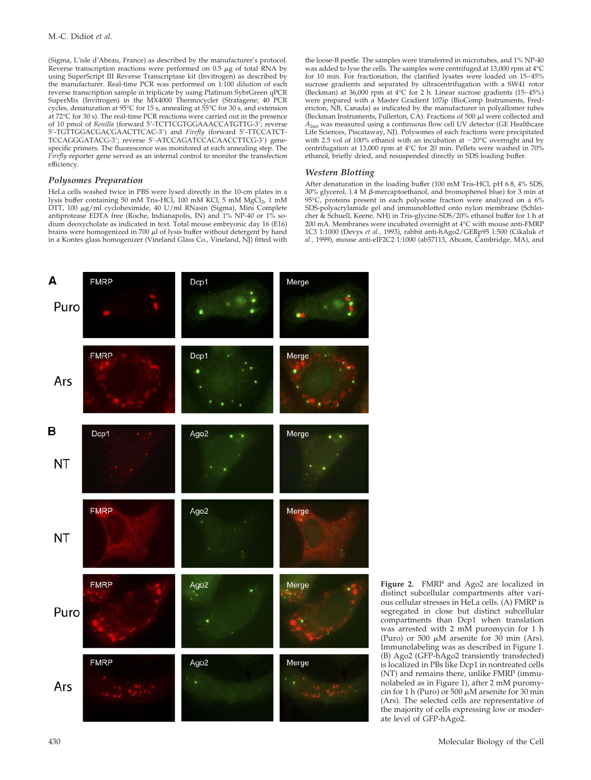(Sigma, L'isle d'Abeau, France) as described by the manufacturer's protocol. Reverse transcription reactions were performed on  $0.5 \mu$ g of total RNA by using SuperScript III Reverse Transcriptase kit (Invitrogen) as described by the manufacturer. Real-time PCR was performed on 1:100 dilution of each reverse transcription sample in triplicate by using Platinum SybrGreen qPCR SuperMix (Invitrogen) in the MX4000 Thermocycler (Stratagene; 40 PCR cycles, denaturation at 95°C for 15 s, annealing at 55°C for 30 s, and extension at 72°C for 30 s). The real-time PCR reactions were carried out in the presence of 10 pmol of *Renilla* (forward 5'-TCTTCGTGGAAACCATGTTG-3'; reverse 5-TGTTGGACGACGAACTTCAC-3) and *Firefly* (forward 5-TTCCATCT-TCCAGGGATACG-3; reverse 5-ATCCAGATCCACAACCTTCG-3) genespecific primers. The fluorescence was monitored at each annealing step. The *Firefly* reporter gene served as an internal control to monitor the transfection efficiency.

#### *Polysomes Preparation*

HeLa cells washed twice in PBS were lysed directly in the 10-cm plates in a lysis buffer containing 50 mM Tris-HCl, 100 mM KCl, 5 mM MgCl<sub>2</sub>, 1 mM DTT, 100 µg/ml cycloheximide, 40 U/ml RNasin (Sigma), Mini Complete antiprotease EDTA free (Roche, Indianapolis, IN) and 1% NP-40 or 1% sodium deoxycholate as indicated in text. Total mouse embryonic day 16 (E16) brains were homogenized in 700  $\mu$ l of lysis buffer without detergent by hand in a Kontes glass homogenizer (Vineland Glass Co., Vineland, NJ) fitted with the loose-B pestle. The samples were transferred in microtubes, and 1% NP-40 was added to lyse the cells. The samples were centrifuged at 13,000 rpm at 4°C for 10 min. For fractionation, the clarified lysates were loaded on 15–45% sucrose gradients and separated by ultracentrifugation with a SW41 rotor (Beckman) at 36,000 rpm at 4°C for 2 h. Linear sucrose gradients (15–45%) were prepared with a Master Gradient 107ip (BioComp Instruments, Fredericton, NB, Canada) as indicated by the manufacturer in polyallomer tubes (Beckman Instruments, Fullerton, CA). Fractions of 500  $\mu$ l were collected and  $A_{260}$  was measured using a continuous flow cell UV detector (GE Healthcare Life Sciences, Piscataway, NJ). Polysomes of each fractions were precipitated with 2.5 vol of 100% ethanol with an incubation at  $-20^{\circ}$ C overnight and by centrifugation at 13,000 rpm at 4°C for 20 min. Pellets were washed in 70% ethanol, briefly dried, and resuspended directly in SDS loading buffer.

#### *Western Blotting*

After denaturation in the loading buffer (100 mM Tris-HCl, pH 6.8, 4% SDS, 30% glycerol, 1.4 M β-mercaptoethanol, and bromophenol blue) for 3 min at 95°C, proteins present in each polysome fraction were analyzed on a 6% SDS-polyacrylamide gel and immunoblotted onto nylon membrane (Schleicher & Schuell, Keene, NH) in Tris-glycine-SDS/20% ethanol buffer for 1 h at 200 mA. Membranes were incubated overnight at 4°C with mouse anti-FMRP 1C3 1:1000 (Devys *et al.,* 1993), rabbit anti-hAgo2/GERp95 1:500 (Cikaluk *et al.,* 1999), mouse anti-eIF2C2 1:1000 (ab57113, Abcam, Cambridge, MA), and



**Figure 2.** FMRP and Ago2 are localized in distinct subcellular compartments after various cellular stresses in HeLa cells. (A) FMRP is segregated in close but distinct subcellular compartments than Dcp1 when translation was arrested with 2 mM puromycin for 1 h (Puro) or 500  $\mu$ M arsenite for 30 min (Ars). Immunolabeling was as described in Figure 1. (B) Ago2 (GFP-hAgo2 transiently transfected) is localized in PBs like Dcp1 in nontreated cells (NT) and remains there, unlike FMRP (immunolabeled as in Figure 1), after 2 mM puromycin for 1 h (Puro) or 500  $\mu$ M arsenite for 30 min (Ars). The selected cells are representative of the majority of cells expressing low or moderate level of GFP-hAgo2.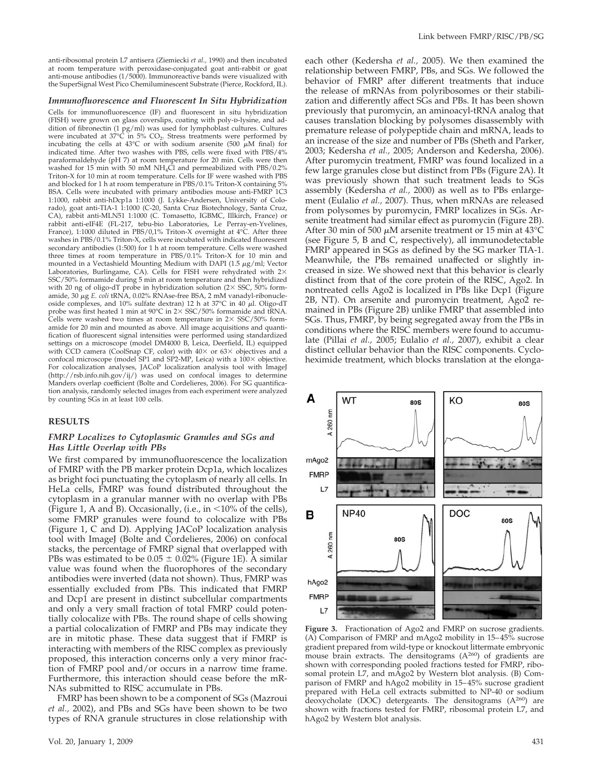anti-ribosomal protein L7 antisera (Ziemiecki *et al.,* 1990) and then incubated at room temperature with peroxidase-conjugated goat anti-rabbit or goat anti-mouse antibodies (1/5000). Immunoreactive bands were visualized with the SuperSignal West Pico Chemiluminescent Substrate (Pierce, Rockford, IL).

#### *Immunofluorescence and Fluorescent In Situ Hybridization*

Cells for immunofluorescence (IF) and fluorescent in situ hybridization (FISH) were grown on glass coverslips, coating with poly-p-lysine, and addition of fibronectin (1 pg/ml) was used for lymphoblast cultures. Cultures were incubated at  $37^{\circ}$ C in  $5\%$  CO<sub>2</sub>. Stress treatments were performed by incubating the cells at 43°C or with sodium arsenite (500  $\mu$ M final) for indicated time. After two washes with PBS, cells were fixed with PBS/4% paraformaldehyde (pH 7) at room temperature for 20 min. Cells were then washed for 15 min with 50 mM NH<sub>4</sub>Cl and permeabilized with PBS/0.2% Triton-X for 10 min at room temperature. Cells for IF were washed with PBS and blocked for 1 h at room temperature in PBS/0.1% Triton-X containing 5% BSA. Cells were incubated with primary antibodies mouse anti-FMRP 1C3 1:1000, rabbit anti-hDcp1a 1:1000 (J. Lykke-Andersen, University of Colorado), goat anti-TIA-1 1:1000 (C-20, Santa Cruz Biotechnology, Santa Cruz, CA), rabbit anti-MLN51 1:1000 (C. Tomasetto, IGBMC, Illkirch, France) or rabbit anti-eIF4E (FL-217, tebu-bio Laboratories, Le Perray-en-Yvelines, France), 1:1000 diluted in PBS/0,1% Triton-X overnight at 4°C. After three washes in PBS/0.1% Triton-X, cells were incubated with indicated fluorescent secondary antibodies (1:500) for 1 h at room temperature. Cells were washed three times at room temperature in PBS/0.1% Triton-X for 10 min and mounted in a Vectashield Mounting Medium with DAPI (1.5  $\mu$ g/ml; Vector Laboratories, Burlingame, CA). Cells for FISH were rehydrated with  $2\times$ SSC/50% formamide during 5 min at room temperature and then hybridized with 20 ng of oligo-dT probe in hybridization solution  $(2 \times SSC, 50\%$  formamide, 30 µg *E. coli* tRNA, 0.02% RNAse-free BSA, 2 mM vanadyl-ribonucleoside complexes, and 10% sulfate dextran) 12 h at 37 $\degree$ C in 40  $\mu$ l. Oligo-dT probe was first heated 1 min at  $90^{\circ}$ C in 2 $\times$  SSC/50% formamide and tRNA. Cells were washed two times at room temperature in  $2 \times$  SSC/50% formamide for 20 min and mounted as above. All image acquisitions and quantification of fluorescent signal intensities were performed using standardized settings on a microscope (model DM4000 B, Leica, Deerfield, IL) equipped with CCD camera (CoolSnap CF, color) with  $40\times$  or  $63\times$  objectives and a confocal microscope (model SP1 and SP2-MP, Leica) with a 100× objective. For colocalization analyses, JACoP localization analysis tool with ImageJ (http://rsb.info.nih.gov/ij/) was used on confocal images to determine Manders overlap coefficient (Bolte and Cordelieres, 2006). For SG quantification analysis, randomly selected images from each experiment were analyzed by counting SGs in at least 100 cells.

#### **RESULTS**

#### *FMRP Localizes to Cytoplasmic Granules and SGs and Has Little Overlap with PBs*

We first compared by immunofluorescence the localization of FMRP with the PB marker protein Dcp1a, which localizes as bright foci punctuating the cytoplasm of nearly all cells. In HeLa cells, FMRP was found distributed throughout the cytoplasm in a granular manner with no overlap with PBs (Figure 1, A and B). Occasionally, (i.e., in  $\leq 10\%$  of the cells), some FMRP granules were found to colocalize with PBs (Figure 1, C and D). Applying JACoP localization analysis tool with ImageJ (Bolte and Cordelieres, 2006) on confocal stacks, the percentage of FMRP signal that overlapped with PBs was estimated to be  $0.05 \pm 0.02\%$  (Figure 1E). A similar value was found when the fluorophores of the secondary antibodies were inverted (data not shown). Thus, FMRP was essentially excluded from PBs. This indicated that FMRP and Dcp1 are present in distinct subcellular compartments and only a very small fraction of total FMRP could potentially colocalize with PBs. The round shape of cells showing a partial colocalization of FMRP and PBs may indicate they are in mitotic phase. These data suggest that if FMRP is interacting with members of the RISC complex as previously proposed, this interaction concerns only a very minor fraction of FMRP pool and/or occurs in a narrow time frame. Furthermore, this interaction should cease before the mR-NAs submitted to RISC accumulate in PBs.

FMRP has been shown to be a component of SGs (Mazroui *et al.,* 2002), and PBs and SGs have been shown to be two types of RNA granule structures in close relationship with each other (Kedersha *et al.,* 2005). We then examined the relationship between FMRP, PBs, and SGs. We followed the behavior of FMRP after different treatments that induce the release of mRNAs from polyribosomes or their stabilization and differently affect SGs and PBs. It has been shown previously that puromycin, an aminoacyl-tRNA analog that causes translation blocking by polysomes disassembly with premature release of polypeptide chain and mRNA, leads to an increase of the size and number of PBs (Sheth and Parker, 2003; Kedersha *et al.,* 2005; Anderson and Kedersha, 2006). After puromycin treatment, FMRP was found localized in a few large granules close but distinct from PBs (Figure 2A). It was previously shown that such treatment leads to SGs assembly (Kedersha *et al.,* 2000) as well as to PBs enlargement (Eulalio *et al.,* 2007). Thus, when mRNAs are released from polysomes by puromycin, FMRP localizes in SGs. Arsenite treatment had similar effect as puromycin (Figure 2B). After 30 min of 500  $\mu$ M arsenite treatment or 15 min at 43°C (see Figure 5, B and C, respectively), all immunodetectable FMRP appeared in SGs as defined by the SG marker TIA-1. Meanwhile, the PBs remained unaffected or slightly increased in size. We showed next that this behavior is clearly distinct from that of the core protein of the RISC, Ago2. In nontreated cells Ago2 is localized in PBs like Dcp1 (Figure 2B, NT). On arsenite and puromycin treatment, Ago2 remained in PBs (Figure 2B) unlike FMRP that assembled into SGs. Thus, FMRP, by being segregated away from the PBs in conditions where the RISC members were found to accumulate (Pillai *et al.,* 2005; Eulalio *et al.,* 2007), exhibit a clear distinct cellular behavior than the RISC components. Cycloheximide treatment, which blocks translation at the elonga-



**Figure 3.** Fractionation of Ago2 and FMRP on sucrose gradients. (A) Comparison of FMRP and mAgo2 mobility in 15–45% sucrose gradient prepared from wild-type or knockout littermate embryonic mouse brain extracts. The densitograms  $(A^{260})$  of gradients are shown with corresponding pooled fractions tested for FMRP, ribosomal protein L7, and mAgo2 by Western blot analysis. (B) Comparison of FMRP and hAgo2 mobility in 15–45% sucrose gradient prepared with HeLa cell extracts submitted to NP-40 or sodium deoxycholate (DOC) detergeants. The densitograms  $(A^{260})$  are shown with fractions tested for FMRP, ribosomal protein L7, and hAgo2 by Western blot analysis.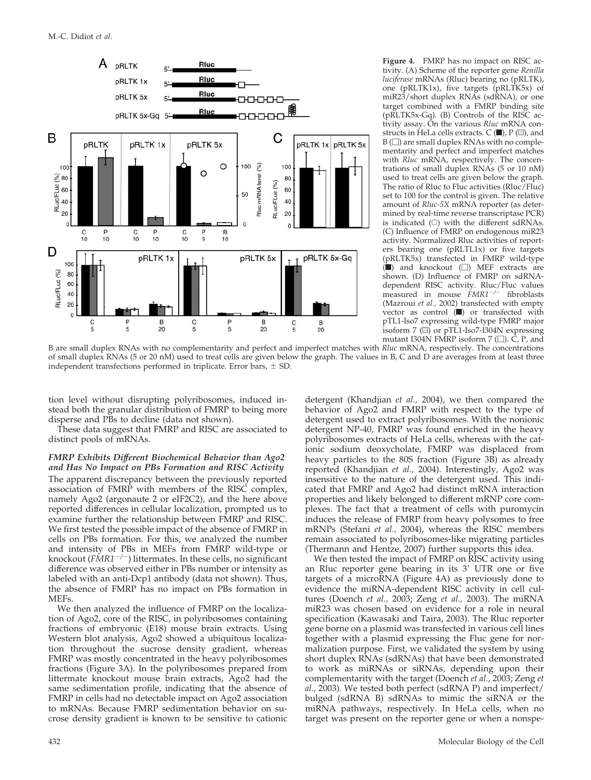

**Figure 4.** FMRP has no impact on RISC activity. (A) Scheme of the reporter gene *Renilla luciferase* mRNAs (Rluc) bearing no (pRLTK), one (pRLTK1x), five targets (pRLTK5x) of miR23/short duplex RNAs (sdRNA), or one target combined with a FMRP binding site (pRLTK5x-Gq). (B) Controls of the RISC activity assay. On the various *Rluc* mRNA constructs in HeLa cells extracts.  $C(\blacksquare)$ ,  $P(\blacksquare)$ , and  $B(\Box)$  are small duplex RNAs with no complementarity and perfect and imperfect matches with *Rluc* mRNA, respectively. The concentrations of small duplex RNAs (5 or 10 nM) used to treat cells are given below the graph. The ratio of Rluc to Fluc activities (Rluc/Fluc) set to 100 for the control is given. The relative amount of *Rluc-5X* mRNA reporter (as determined by real-time reverse transcriptase PCR) is indicated  $(O)$  with the different sdRNAs. (C) Influence of FMRP on endogenous miR23 activity. Normalized Rluc activities of reporters bearing one (pRLTL1x) or five targets (pRLTK5x) transfected in FMRP wild-type  $(\blacksquare)$  and knockout  $(\square)$  MEF extracts are shown. (D) Influence of FMRP on sdRNAdependent RISC activity. Rluc/Fluc values measured in mouse  $\tilde{F}MR1^{-/-}$  fibroblasts (Mazroui *et al.,* 2002) transfected with empty vector as control  $(\blacksquare)$  or transfected with pTL1-Iso7 expressing wild-type FMRP major isoform 7  $\overline{w}$  or pTL1-Iso7-I304N expressing mutant I304N FMRP isoform 7 ( $\Box$ ). C, P, and

B are small duplex RNAs with no complementarity and perfect and imperfect matches with *Rluc* mRNA, respectively. The concentrations of small duplex RNAs (5 or 20 nM) used to treat cells are given below the graph. The values in B, C and D are averages from at least three independent transfections performed in triplicate. Error bars,  $\pm$  SD.

tion level without disrupting polyribosomes, induced instead both the granular distribution of FMRP to being more disperse and PBs to decline (data not shown).

These data suggest that FMRP and RISC are associated to distinct pools of mRNAs.

#### *FMRP Exhibits Different Biochemical Behavior than Ago2 and Has No Impact on PBs Formation and RISC Activity*

The apparent discrepancy between the previously reported association of FMRP with members of the RISC complex, namely Ago2 (argonaute 2 or eIF2C2), and the here above reported differences in cellular localization, prompted us to examine further the relationship between FMRP and RISC. We first tested the possible impact of the absence of FMRP in cells on PBs formation. For this, we analyzed the number and intensity of PBs in MEFs from FMRP wild-type or knockout (*FMR1/*) littermates. In these cells, no significant difference was observed either in PBs number or intensity as labeled with an anti-Dcp1 antibody (data not shown). Thus, the absence of FMRP has no impact on PBs formation in MEFs.

We then analyzed the influence of FMRP on the localization of Ago2, core of the RISC, in polyribosomes containing fractions of embryonic (E18) mouse brain extracts. Using Western blot analysis, Ago2 showed a ubiquitous localization throughout the sucrose density gradient, whereas FMRP was mostly concentrated in the heavy polyribosomes fractions (Figure 3A). In the polyribosomes prepared from littermate knockout mouse brain extracts, Ago2 had the same sedimentation profile, indicating that the absence of FMRP in cells had no detectable impact on Ago2 association to mRNAs. Because FMRP sedimentation behavior on sucrose density gradient is known to be sensitive to cationic detergent (Khandjian *et al.,* 2004), we then compared the behavior of Ago2 and FMRP with respect to the type of detergent used to extract polyribosomes. With the nonionic detergent NP-40, FMRP was found enriched in the heavy polyribosomes extracts of HeLa cells, whereas with the cationic sodium deoxycholate, FMRP was displaced from heavy particles to the 80S fraction (Figure 3B) as already reported (Khandjian *et al.,* 2004). Interestingly, Ago2 was insensitive to the nature of the detergent used. This indicated that FMRP and Ago2 had distinct mRNA interaction properties and likely belonged to different mRNP core complexes. The fact that a treatment of cells with puromycin induces the release of FMRP from heavy polysomes to free mRNPs (Stefani *et al.,* 2004), whereas the RISC members remain associated to polyribosomes-like migrating particles (Thermann and Hentze, 2007) further supports this idea.

We then tested the impact of FMRP on RISC activity using an Rluc reporter gene bearing in its 3' UTR one or five targets of a microRNA (Figure 4A) as previously done to evidence the miRNA-dependent RISC activity in cell cultures (Doench *et al.,* 2003; Zeng *et al.,* 2003). The miRNA miR23 was chosen based on evidence for a role in neural specification (Kawasaki and Taira, 2003). The Rluc reporter gene borne on a plasmid was transfected in various cell lines together with a plasmid expressing the Fluc gene for normalization purpose. First, we validated the system by using short duplex RNAs (sdRNAs) that have been demonstrated to work as miRNAs or siRNAs, depending upon their complementarity with the target (Doench *et al.,* 2003; Zeng *et al.,* 2003). We tested both perfect (sdRNA P) and imperfect/ bulged (sdRNA B) sdRNAs to mimic the siRNA or the miRNA pathways, respectively. In HeLa cells, when no target was present on the reporter gene or when a nonspe-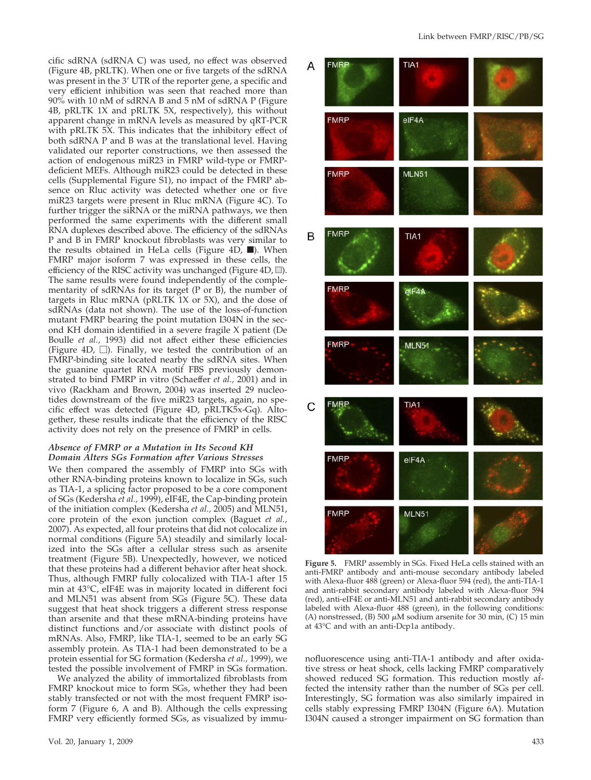cific sdRNA (sdRNA C) was used, no effect was observed (Figure 4B, pRLTK). When one or five targets of the sdRNA was present in the  $3'$  UTR of the reporter gene, a specific and very efficient inhibition was seen that reached more than 90% with 10 nM of sdRNA B and 5 nM of sdRNA P (Figure 4B, pRLTK 1X and pRLTK 5X, respectively), this without apparent change in mRNA levels as measured by qRT-PCR with pRLTK 5X. This indicates that the inhibitory effect of both sdRNA P and B was at the translational level. Having validated our reporter constructions, we then assessed the action of endogenous miR23 in FMRP wild-type or FMRPdeficient MEFs. Although miR23 could be detected in these cells (Supplemental Figure S1), no impact of the FMRP absence on Rluc activity was detected whether one or five miR23 targets were present in Rluc mRNA (Figure 4C). To further trigger the siRNA or the miRNA pathways, we then performed the same experiments with the different small RNA duplexes described above. The efficiency of the sdRNAs P and B in FMRP knockout fibroblasts was very similar to the results obtained in HeLa cells (Figure 4D,  $\blacksquare$ ). When FMRP major isoform 7 was expressed in these cells, the efficiency of the RISC activity was unchanged (Figure 4D,  $\equiv$ ). The same results were found independently of the complementarity of sdRNAs for its target (P or B), the number of targets in Rluc mRNA (pRLTK 1X or 5X), and the dose of sdRNAs (data not shown). The use of the loss-of-function mutant FMRP bearing the point mutation I304N in the second KH domain identified in a severe fragile X patient (De Boulle *et al.,* 1993) did not affect either these efficiencies (Figure 4D,  $\Box$ ). Finally, we tested the contribution of an FMRP-binding site located nearby the sdRNA sites. When the guanine quartet RNA motif FBS previously demonstrated to bind FMRP in vitro (Schaeffer *et al.*, 2001) and in vivo (Rackham and Brown, 2004) was inserted 29 nucleotides downstream of the five miR23 targets, again, no specific effect was detected (Figure 4D, pRLTK5x-Gq). Altogether, these results indicate that the efficiency of the RISC activity does not rely on the presence of FMRP in cells.

### *Absence of FMRP or a Mutation in Its Second KH Domain Alters SGs Formation after Various Stresses*

We then compared the assembly of FMRP into SGs with other RNA-binding proteins known to localize in SGs, such as TIA-1, a splicing factor proposed to be a core component of SGs (Kedersha *et al.,* 1999), eIF4E, the Cap-binding protein of the initiation complex (Kedersha *et al.,* 2005) and MLN51, core protein of the exon junction complex (Baguet *et al.,* 2007). As expected, all four proteins that did not colocalize in normal conditions (Figure 5A) steadily and similarly localized into the SGs after a cellular stress such as arsenite treatment (Figure 5B). Unexpectedly, however, we noticed that these proteins had a different behavior after heat shock. Thus, although FMRP fully colocalized with TIA-1 after 15 min at 43°C, eIF4E was in majority located in different foci and MLN51 was absent from SGs (Figure 5C). These data suggest that heat shock triggers a different stress response than arsenite and that these mRNA-binding proteins have distinct functions and/or associate with distinct pools of mRNAs. Also, FMRP, like TIA-1, seemed to be an early SG assembly protein. As TIA-1 had been demonstrated to be a protein essential for SG formation (Kedersha *et al.,* 1999), we tested the possible involvement of FMRP in SGs formation.

We analyzed the ability of immortalized fibroblasts from FMRP knockout mice to form SGs, whether they had been stably transfected or not with the most frequent FMRP isoform 7 (Figure 6, A and B). Although the cells expressing FMRP very efficiently formed SGs, as visualized by immu-



**Figure 5.** FMRP assembly in SGs. Fixed HeLa cells stained with an anti-FMRP antibody and anti-mouse secondary antibody labeled with Alexa-fluor 488 (green) or Alexa-fluor 594 (red), the anti-TIA-1 and anti-rabbit secondary antibody labeled with Alexa-fluor 594 (red), anti-eIF4E or anti-MLN51 and anti-rabbit secondary antibody labeled with Alexa-fluor 488 (green), in the following conditions: (A) nonstressed, (B) 500  $\mu$ M sodium arsenite for 30 min, (C) 15 min at 43°C and with an anti-Dcp1a antibody.

nofluorescence using anti-TIA-1 antibody and after oxidative stress or heat shock, cells lacking FMRP comparatively showed reduced SG formation. This reduction mostly affected the intensity rather than the number of SGs per cell. Interestingly, SG formation was also similarly impaired in cells stably expressing FMRP I304N (Figure 6A). Mutation I304N caused a stronger impairment on SG formation than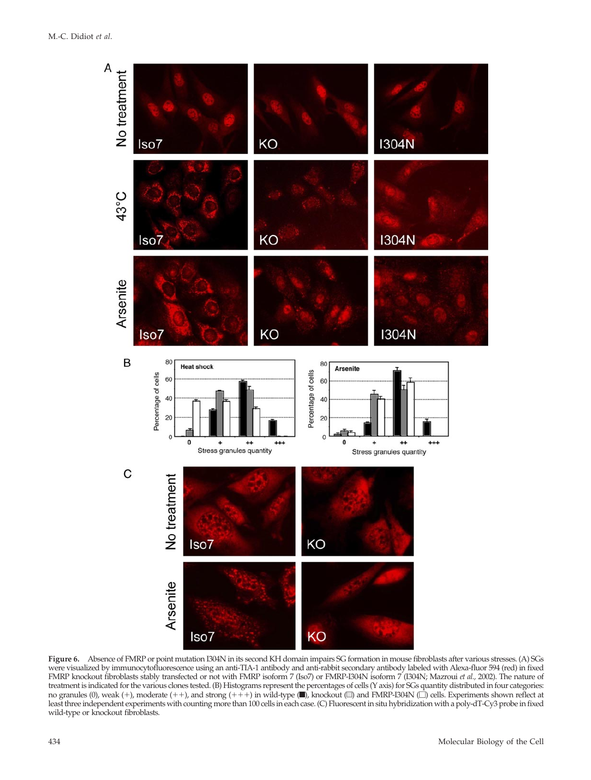

**Figure 6.** Absence of FMRP or point mutation I304N in its second KH domain impairs SG formation in mouse fibroblasts after various stresses. (A) SGs were visualized by immunocytofluorescence using an anti-TIA-1 antibody and anti-rabbit secondary antibody labeled with Alexa-fluor 594 (red) in fixed FMRP knockout fibroblasts stably transfected or not with FMRP isoform 7 (Iso7) or FMRP-I304N isoform 7 (I304N; Mazroui *et al.,* 2002). The nature of treatment is indicated for the various clones tested. (B) Histograms represent the percentages of cells (Y axis) for SGs quantity distributed in four categories: no granules (0), weak (+), moderate (++), and strong (+++) in wild-type  $(\blacksquare)$ , knockout  $(\blacksquare)$  and FMRP-I304N  $(\square)$  cells. Experiments shown reflect at least three independent experiments with counting more than 100 cells in each case. (C) Fluorescent in situ hybridization with a poly-dT-Cy3 probe in fixed wild-type or knockout fibroblasts.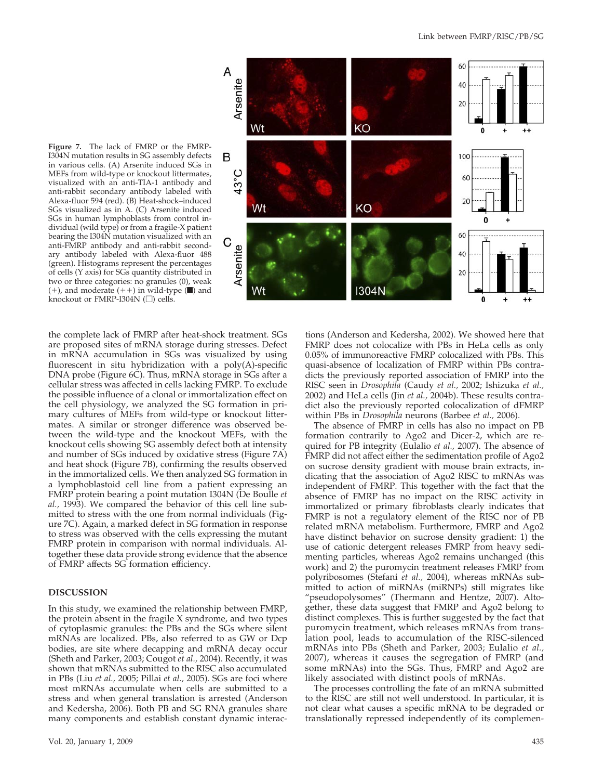

**Figure 7.** The lack of FMRP or the FMRP-I304N mutation results in SG assembly defects in various cells. (A) Arsenite induced SGs in MEFs from wild-type or knockout littermates, visualized with an anti-TIA-1 antibody and anti-rabbit secondary antibody labeled with Alexa-fluor 594 (red). (B) Heat-shock–induced SGs visualized as in A. (C) Arsenite induced SGs in human lymphoblasts from control individual (wild type) or from a fragile-X patient bearing the I304N mutation visualized with an anti-FMRP antibody and anti-rabbit secondary antibody labeled with Alexa-fluor 488 (green). Histograms represent the percentages of cells (Y axis) for SGs quantity distributed in two or three categories: no granules (0), weak  $(+)$ , and moderate  $(++)$  in wild-type ( $\blacksquare$ ) and knockout or FMRP-I304N  $\Box$ ) cells.

the complete lack of FMRP after heat-shock treatment. SGs are proposed sites of mRNA storage during stresses. Defect in mRNA accumulation in SGs was visualized by using fluorescent in situ hybridization with a poly(A)-specific DNA probe (Figure 6C). Thus, mRNA storage in SGs after a cellular stress was affected in cells lacking FMRP. To exclude the possible influence of a clonal or immortalization effect on the cell physiology, we analyzed the SG formation in primary cultures of MEFs from wild-type or knockout littermates. A similar or stronger difference was observed between the wild-type and the knockout MEFs, with the knockout cells showing SG assembly defect both at intensity and number of SGs induced by oxidative stress (Figure 7A) and heat shock (Figure 7B), confirming the results observed in the immortalized cells. We then analyzed SG formation in a lymphoblastoid cell line from a patient expressing an FMRP protein bearing a point mutation I304N (De Boulle *et al.,* 1993). We compared the behavior of this cell line submitted to stress with the one from normal individuals (Figure 7C). Again, a marked defect in SG formation in response to stress was observed with the cells expressing the mutant FMRP protein in comparison with normal individuals. Altogether these data provide strong evidence that the absence of FMRP affects SG formation efficiency.

## **DISCUSSION**

In this study, we examined the relationship between FMRP, the protein absent in the fragile X syndrome, and two types of cytoplasmic granules: the PBs and the SGs where silent mRNAs are localized. PBs, also referred to as GW or Dcp bodies, are site where decapping and mRNA decay occur (Sheth and Parker, 2003; Cougot *et al.,* 2004). Recently, it was shown that mRNAs submitted to the RISC also accumulated in PBs (Liu *et al.,* 2005; Pillai *et al.,* 2005). SGs are foci where most mRNAs accumulate when cells are submitted to a stress and when general translation is arrested (Anderson and Kedersha, 2006). Both PB and SG RNA granules share many components and establish constant dynamic interactions (Anderson and Kedersha, 2002). We showed here that FMRP does not colocalize with PBs in HeLa cells as only 0.05% of immunoreactive FMRP colocalized with PBs. This quasi-absence of localization of FMRP within PBs contradicts the previously reported association of FMRP into the RISC seen in *Drosophila* (Caudy *et al.,* 2002; Ishizuka *et al.,* 2002) and HeLa cells (Jin *et al.,* 2004b). These results contradict also the previously reported colocalization of dFMRP within PBs in *Drosophila* neurons (Barbee *et al.,* 2006).

The absence of FMRP in cells has also no impact on PB formation contrarily to Ago2 and Dicer-2, which are required for PB integrity (Eulalio *et al.,* 2007). The absence of FMRP did not affect either the sedimentation profile of Ago2 on sucrose density gradient with mouse brain extracts, indicating that the association of Ago2 RISC to mRNAs was independent of FMRP. This together with the fact that the absence of FMRP has no impact on the RISC activity in immortalized or primary fibroblasts clearly indicates that FMRP is not a regulatory element of the RISC nor of PB related mRNA metabolism. Furthermore, FMRP and Ago2 have distinct behavior on sucrose density gradient: 1) the use of cationic detergent releases FMRP from heavy sedimenting particles, whereas Ago2 remains unchanged (this work) and 2) the puromycin treatment releases FMRP from polyribosomes (Stefani *et al.,* 2004), whereas mRNAs submitted to action of miRNAs (miRNPs) still migrates like "pseudopolysomes" (Thermann and Hentze, 2007). Altogether, these data suggest that FMRP and Ago2 belong to distinct complexes. This is further suggested by the fact that puromycin treatment, which releases mRNAs from translation pool, leads to accumulation of the RISC-silenced mRNAs into PBs (Sheth and Parker, 2003; Eulalio *et al.,* 2007), whereas it causes the segregation of FMRP (and some mRNAs) into the SGs. Thus, FMRP and Ago2 are likely associated with distinct pools of mRNAs.

The processes controlling the fate of an mRNA submitted to the RISC are still not well understood. In particular, it is not clear what causes a specific mRNA to be degraded or translationally repressed independently of its complemen-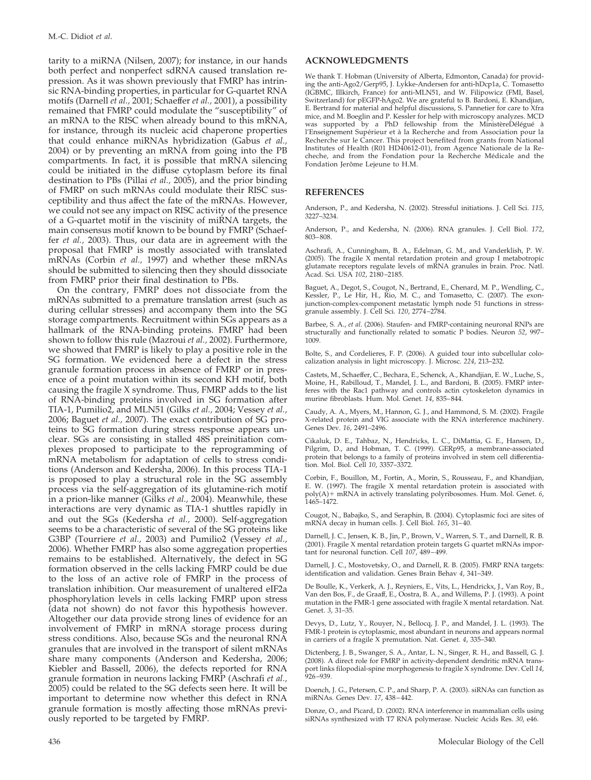tarity to a miRNA (Nilsen, 2007); for instance, in our hands both perfect and nonperfect sdRNA caused translation repression. As it was shown previously that FMRP has intrinsic RNA-binding properties, in particular for G-quartet RNA motifs (Darnell *et al.,* 2001; Schaeffer *et al.,* 2001), a possibility remained that FMRP could modulate the "susceptibility" of an mRNA to the RISC when already bound to this mRNA, for instance, through its nucleic acid chaperone properties that could enhance miRNAs hybridization (Gabus *et al.,* 2004) or by preventing an mRNA from going into the PB compartments. In fact, it is possible that mRNA silencing could be initiated in the diffuse cytoplasm before its final destination to PBs (Pillai *et al.,* 2005), and the prior binding of FMRP on such mRNAs could modulate their RISC susceptibility and thus affect the fate of the mRNAs. However, we could not see any impact on RISC activity of the presence of a G-quartet motif in the viscinity of miRNA targets, the main consensus motif known to be bound by FMRP (Schaeffer *et al.,* 2003). Thus, our data are in agreement with the proposal that FMRP is mostly associated with translated mRNAs (Corbin *et al.,* 1997) and whether these mRNAs should be submitted to silencing then they should dissociate from FMRP prior their final destination to PBs.

On the contrary, FMRP does not dissociate from the mRNAs submitted to a premature translation arrest (such as during cellular stresses) and accompany them into the SG storage compartments. Recruitment within SGs appears as a hallmark of the RNA-binding proteins. FMRP had been shown to follow this rule (Mazroui *et al.,* 2002). Furthermore, we showed that FMRP is likely to play a positive role in the SG formation. We evidenced here a defect in the stress granule formation process in absence of FMRP or in presence of a point mutation within its second KH motif, both causing the fragile X syndrome. Thus, FMRP adds to the list of RNA-binding proteins involved in SG formation after TIA-1, Pumilio2, and MLN51 (Gilks *et al.,* 2004; Vessey *et al.,* 2006; Baguet *et al.,* 2007). The exact contribution of SG proteins to SG formation during stress response appears unclear. SGs are consisting in stalled 48S preinitiation complexes proposed to participate to the reprogramming of mRNA metabolism for adaptation of cells to stress conditions (Anderson and Kedersha, 2006). In this process TIA-1 is proposed to play a structural role in the SG assembly process via the self-aggregation of its glutamine-rich motif in a prion-like manner (Gilks *et al.,* 2004). Meanwhile, these interactions are very dynamic as TIA-1 shuttles rapidly in and out the SGs (Kedersha *et al.,* 2000). Self-aggregation seems to be a characteristic of several of the SG proteins like G3BP (Tourriere *et al.,* 2003) and Pumilio2 (Vessey *et al.,* 2006). Whether FMRP has also some aggregation properties remains to be established. Alternatively, the defect in SG formation observed in the cells lacking FMRP could be due to the loss of an active role of FMRP in the process of translation inhibition. Our measurement of unaltered eIF2a phosphorylation levels in cells lacking FMRP upon stress (data not shown) do not favor this hypothesis however. Altogether our data provide strong lines of evidence for an involvement of FMRP in mRNA storage process during stress conditions. Also, because SGs and the neuronal RNA granules that are involved in the transport of silent mRNAs share many components (Anderson and Kedersha, 2006; Kiebler and Bassell, 2006), the defects reported for RNA granule formation in neurons lacking FMRP (Aschrafi *et al.,* 2005) could be related to the SG defects seen here. It will be important to determine now whether this defect in RNA granule formation is mostly affecting those mRNAs previously reported to be targeted by FMRP.

We thank T. Hobman (University of Alberta, Edmonton, Canada) for providing the anti-Ago2/Gerp95, J. Lykke-Andersen for anti-hDcp1a, C. Tomasetto (IGBMC, Illkirch, France) for anti-MLN51, and W. Filipowicz (FMI, Basel, Switzerland) for pEGFP-hAgo2. We are grateful to B. Bardoni, E. Khandjian, E. Bertrand for material and helpful discussions, S. Pannetier for care to Xfra mice, and M. Boeglin and P. Kessler for help with microscopy analyzes. MCD was supported by a PhD fellowship from the MinistèreDélégué à l'Enseignement Supérieur et à la Recherche and from Association pour la Recherche sur le Cancer. This project benefited from grants from National Institutes of Health (R01 HD40612-01), from Agence Nationale de la Recheche, and from the Fondation pour la Recherche Médicale and the Fondation Jerôme Lejeune to H.M.

### **REFERENCES**

Anderson, P., and Kedersha, N. (2002). Stressful initiations. J. Cell Sci. *115*, 3227–3234.

Anderson, P., and Kedersha, N. (2006). RNA granules. J. Cell Biol. *172*, 803–808.

Aschrafi, A., Cunningham, B. A., Edelman, G. M., and Vanderklish, P. W. (2005). The fragile X mental retardation protein and group I metabotropic glutamate receptors regulate levels of mRNA granules in brain. Proc. Natl. Acad. Sci. USA *102*, 2180–2185.

Baguet, A., Degot, S., Cougot, N., Bertrand, E., Chenard, M. P., Wendling, C., Kessler, P., Le Hir, H., Rio, M. C., and Tomasetto, C. (2007). The exonjunction-complex-component metastatic lymph node 51 functions in stressgranule assembly. J. Cell Sci. *120*, 2774–2784.

Barbee, S. A., *et al*. (2006). Staufen- and FMRP-containing neuronal RNPs are structurally and functionally related to somatic P bodies. Neuron *52*, 997– 1009.

Bolte, S., and Cordelieres, F. P. (2006). A guided tour into subcellular colo-calization analysis in light microscopy. J. Microsc. *224*, 213–232.

Castets, M., Schaeffer, C., Bechara, E., Schenck, A., Khandjian, E. W., Luche, S., Moine, H., Rabilloud, T., Mandel, J. L., and Bardoni, B. (2005). FMRP interferes with the Rac1 pathway and controls actin cytoskeleton dynamics in murine fibroblasts. Hum. Mol. Genet. *14*, 835–844.

Caudy, A. A., Myers, M., Hannon, G. J., and Hammond, S. M. (2002). Fragile X-related protein and VIG associate with the RNA interference machinery. Genes Dev. *16*, 2491–2496.

Cikaluk, D. E., Tahbaz, N., Hendricks, L. C., DiMattia, G. E., Hansen, D., Pilgrim, D., and Hobman, T. C. (1999). GERp95, a membrane-associated protein that belongs to a family of proteins involved in stem cell differentiation. Mol. Biol. Cell *10*, 3357–3372.

Corbin, F., Bouillon, M., Fortin, A., Morin, S., Rousseau, F., and Khandjian, E. W. (1997). The fragile X mental retardation protein is associated with poly(A) + mRNA in actively translating polyribosomes. Hum. Mol. Genet. 6, 1465–1472.

Cougot, N., Babajko, S., and Seraphin, B. (2004). Cytoplasmic foci are sites of mRNA decay in human cells. J. Cell Biol. *165*, 31–40.

Darnell, J. C., Jensen, K. B., Jin, P., Brown, V., Warren, S. T., and Darnell, R. B. (2001). Fragile X mental retardation protein targets G quartet mRNAs important for neuronal function. Cell *107*, 489–499.

Darnell, J. C., Mostovetsky, O., and Darnell, R. B. (2005). FMRP RNA targets: identification and validation. Genes Brain Behav *4*, 341–349.

De Boulle, K., Verkerk, A. J., Reyniers, E., Vits, L., Hendrickx, J., Van Roy, B., Van den Bos, F., de Graaff, E., Oostra, B. A., and Willems, P. J. (1993). A point mutation in the FMR-1 gene associated with fragile X mental retardation. Nat. Genet. *3*, 31–35.

Devys, D., Lutz, Y., Rouyer, N., Bellocq, J. P., and Mandel, J. L. (1993). The FMR-1 protein is cytoplasmic, most abundant in neurons and appears normal in carriers of a fragile X premutation. Nat. Genet. *4*, 335–340.

Dictenberg, J. B., Swanger, S. A., Antar, L. N., Singer, R. H., and Bassell, G. J. (2008). A direct role for FMRP in activity-dependent dendritic mRNA trans-port links filopodial-spine morphogenesis to fragile X syndrome. Dev. Cell *14*,  $926 - 939.$ 

Doench, J. G., Petersen, C. P., and Sharp, P. A. (2003). siRNAs can function as miRNAs. Genes Dev. *17*, 438–442.

Donze, O., and Picard, D. (2002). RNA interference in mammalian cells using siRNAs synthesized with T7 RNA polymerase. Nucleic Acids Res. *30*, e46.